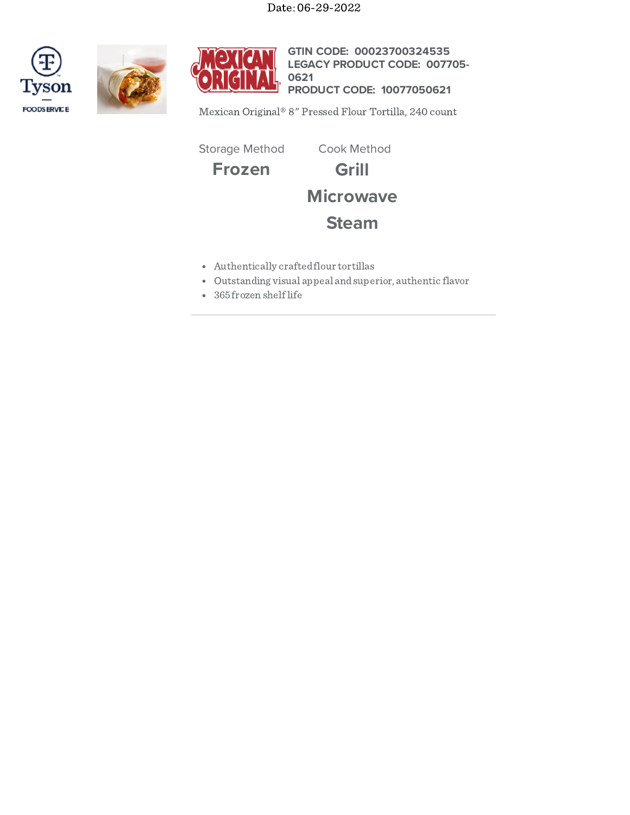Date: 06-29-2022







**GTIN CODE: 00023700324535 LEGACY PRODUCT CODE: 007705- PRODUCT CODE: 10077050621 0621**

Mexican Original® 8" Pressed Flour Tortilla, 240 count

Storage Method Cook Method

**Frozen Grill**



**Microwave**

# **Steam**

- Authentically craftedflour tortillas
- Outstanding visual appeal andsuperior, authentic flavor
- 365 frozen shelflife